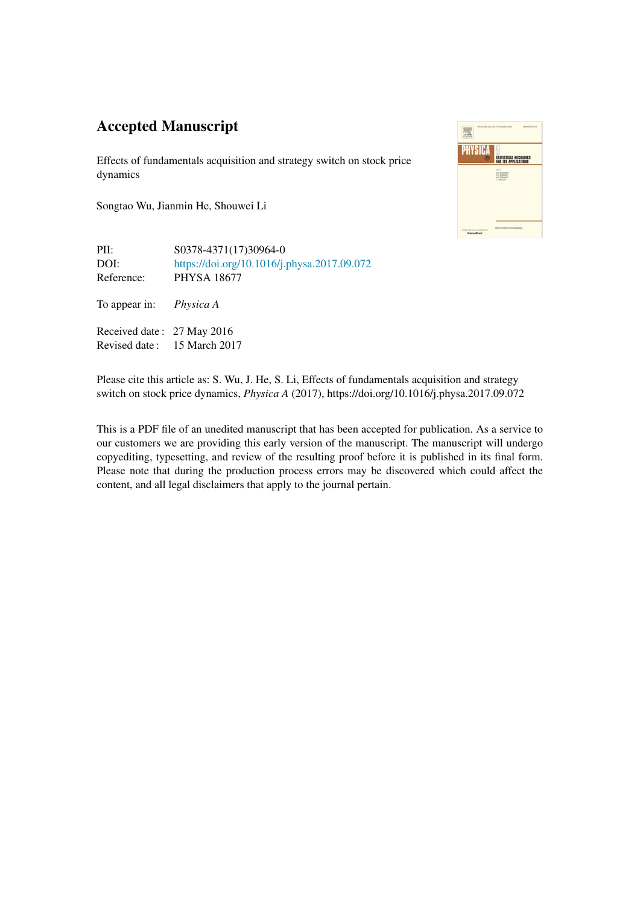# Accepted Manuscript

Effects of fundamentals acquisition and strategy switch on stock price dynamics

Songtao Wu, Jianmin He, Shouwei Li



PII: S0378-4371(17)30964-0 DOI: <https://doi.org/10.1016/j.physa.2017.09.072> Reference: PHYSA 18677

To appear in: *Physica A*

Received date : 27 May 2016 Revised date : 15 March 2017

Please cite this article as: S. Wu, J. He, S. Li, Effects of fundamentals acquisition and strategy switch on stock price dynamics, *Physica A* (2017), https://doi.org/10.1016/j.physa.2017.09.072

This is a PDF file of an unedited manuscript that has been accepted for publication. As a service to our customers we are providing this early version of the manuscript. The manuscript will undergo copyediting, typesetting, and review of the resulting proof before it is published in its final form. Please note that during the production process errors may be discovered which could affect the content, and all legal disclaimers that apply to the journal pertain.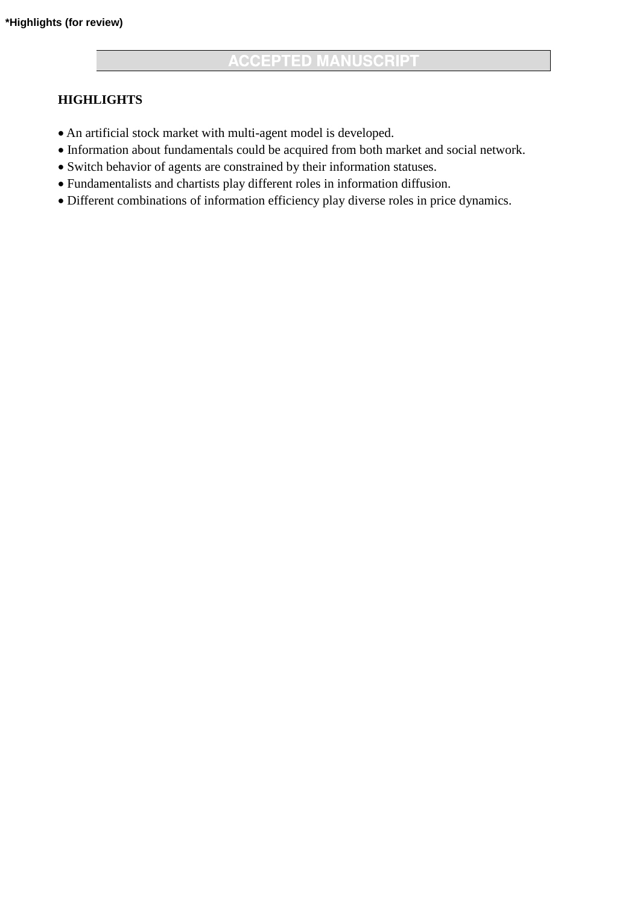# **HIGHLIGHTS**

- An artificial stock market with multi-agent model is developed.
- Information about fundamentals could be acquired from both market and social network.
- Switch behavior of agents are constrained by their information statuses.
- Fundamentalists and chartists play different roles in information diffusion.
- Different combinations of information efficiency play diverse roles in price dynamics.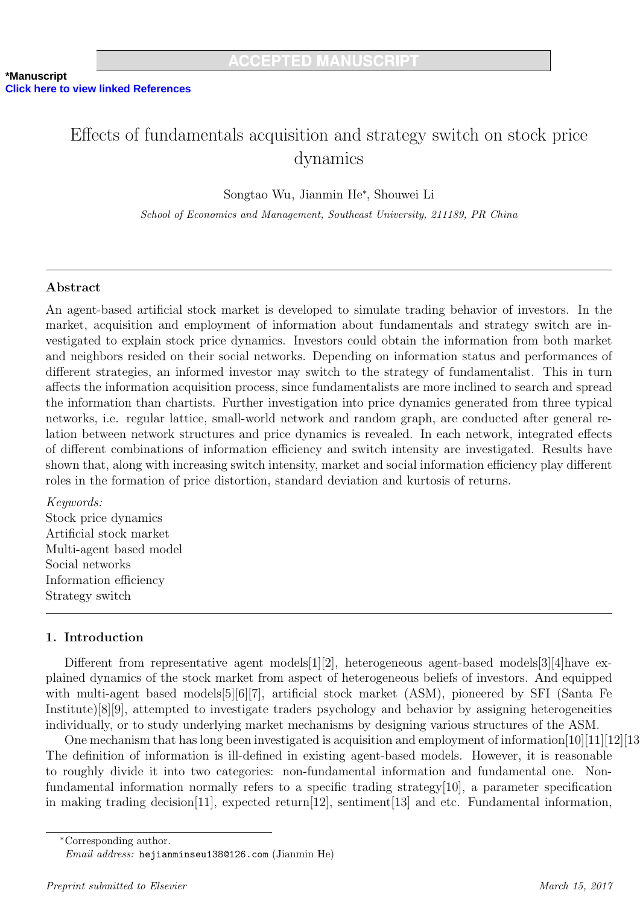# Effects of fundamentals acquisition and strategy switch on stock price dynamics

Songtao Wu, Jianmin He<sup>∗</sup> , Shouwei Li

School of Economics and Management, Southeast University, 211189, PR China

# Abstract

An agent-based artificial stock market is developed to simulate trading behavior of investors. In the market, acquisition and employment of information about fundamentals and strategy switch are investigated to explain stock price dynamics. Investors could obtain the information from both market and neighbors resided on their social networks. Depending on information status and performances of different strategies, an informed investor may switch to the strategy of fundamentalist. This in turn affects the information acquisition process, since fundamentalists are more inclined to search and spread the information than chartists. Further investigation into price dynamics generated from three typical networks, i.e. regular lattice, small-world network and random graph, are conducted after general relation between network structures and price dynamics is revealed. In each network, integrated effects of different combinations of information efficiency and switch intensity are investigated. Results have shown that, along with increasing switch intensity, market and social information efficiency play different roles in the formation of price distortion, standard deviation and kurtosis of returns.

Keywords: Stock price dynamics Artificial stock market Multi-agent based model Social networks Information efficiency Strategy switch

# 1. Introduction

Different from representative agent models[1][2], heterogeneous agent-based models[3][4]have explained dynamics of the stock market from aspect of heterogeneous beliefs of investors. And equipped with multi-agent based models[5][6][7], artificial stock market (ASM), pioneered by SFI (Santa Fe Institute)[8][9], attempted to investigate traders psychology and behavior by assigning heterogeneities individually, or to study underlying market mechanisms by designing various structures of the ASM.

One mechanism that has long been investigated is acquisition and employment of information[10][11][12][13]. The definition of information is ill-defined in existing agent-based models. However, it is reasonable to roughly divide it into two categories: non-fundamental information and fundamental one. Nonfundamental information normally refers to a specific trading strategy[10], a parameter specification in making trading decision[11], expected return[12], sentiment[13] and etc. Fundamental information,

<sup>∗</sup>Corresponding author.

Email address: hejianminseu138@126.com (Jianmin He)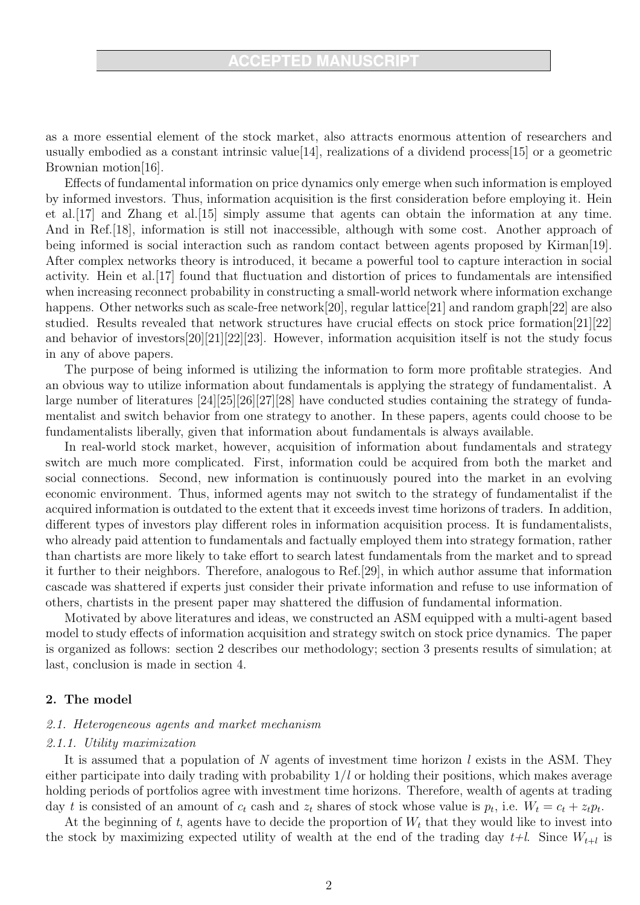as a more essential element of the stock market, also attracts enormous attention of researchers and usually embodied as a constant intrinsic value[14], realizations of a dividend process[15] or a geometric Brownian motion[16].

Effects of fundamental information on price dynamics only emerge when such information is employed by informed investors. Thus, information acquisition is the first consideration before employing it. Hein et al.[17] and Zhang et al.[15] simply assume that agents can obtain the information at any time. And in Ref.[18], information is still not inaccessible, although with some cost. Another approach of being informed is social interaction such as random contact between agents proposed by Kirman[19]. After complex networks theory is introduced, it became a powerful tool to capture interaction in social activity. Hein et al.[17] found that fluctuation and distortion of prices to fundamentals are intensified when increasing reconnect probability in constructing a small-world network where information exchange happens. Other networks such as scale-free network[20], regular lattice[21] and random graph[22] are also studied. Results revealed that network structures have crucial effects on stock price formation[21][22] and behavior of investors[20][21][22][23]. However, information acquisition itself is not the study focus in any of above papers.

The purpose of being informed is utilizing the information to form more profitable strategies. And an obvious way to utilize information about fundamentals is applying the strategy of fundamentalist. A large number of literatures [24][25][26][27][28] have conducted studies containing the strategy of fundamentalist and switch behavior from one strategy to another. In these papers, agents could choose to be fundamentalists liberally, given that information about fundamentals is always available.

In real-world stock market, however, acquisition of information about fundamentals and strategy switch are much more complicated. First, information could be acquired from both the market and social connections. Second, new information is continuously poured into the market in an evolving economic environment. Thus, informed agents may not switch to the strategy of fundamentalist if the acquired information is outdated to the extent that it exceeds invest time horizons of traders. In addition, different types of investors play different roles in information acquisition process. It is fundamentalists, who already paid attention to fundamentals and factually employed them into strategy formation, rather than chartists are more likely to take effort to search latest fundamentals from the market and to spread it further to their neighbors. Therefore, analogous to Ref.[29], in which author assume that information cascade was shattered if experts just consider their private information and refuse to use information of others, chartists in the present paper may shattered the diffusion of fundamental information.

Motivated by above literatures and ideas, we constructed an ASM equipped with a multi-agent based model to study effects of information acquisition and strategy switch on stock price dynamics. The paper is organized as follows: section 2 describes our methodology; section 3 presents results of simulation; at last, conclusion is made in section 4.

## 2. The model

#### 2.1. Heterogeneous agents and market mechanism

#### 2.1.1. Utility maximization

It is assumed that a population of N agents of investment time horizon  $l$  exists in the ASM. They either participate into daily trading with probability  $1/l$  or holding their positions, which makes average holding periods of portfolios agree with investment time horizons. Therefore, wealth of agents at trading day t is consisted of an amount of  $c_t$  cash and  $z_t$  shares of stock whose value is  $p_t$ , i.e.  $W_t = c_t + z_t p_t$ .

At the beginning of t, agents have to decide the proportion of  $W_t$  that they would like to invest into the stock by maximizing expected utility of wealth at the end of the trading day  $t+l$ . Since  $W_{t+l}$  is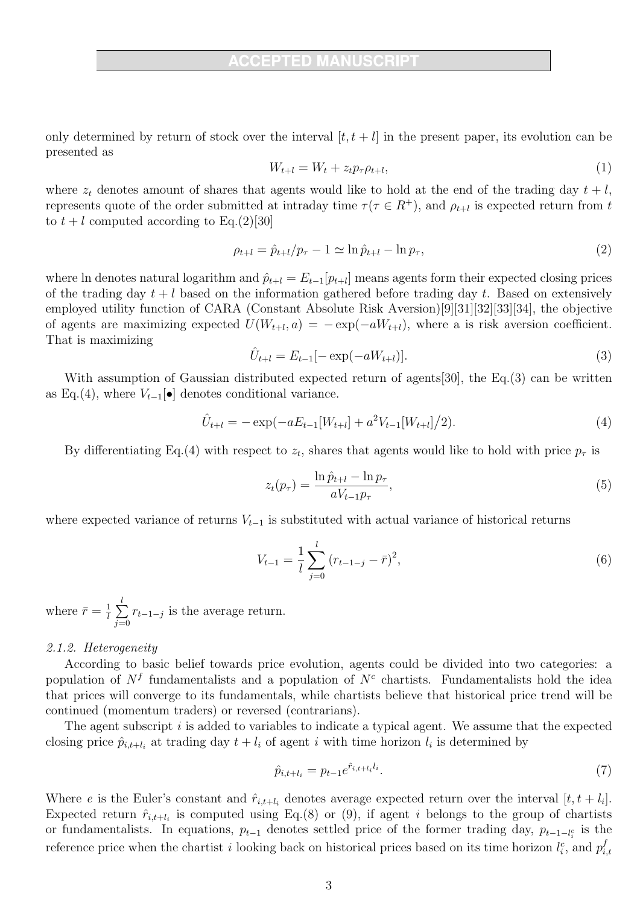only determined by return of stock over the interval  $[t, t + l]$  in the present paper, its evolution can be presented as

$$
W_{t+l} = W_t + z_t p_\tau \rho_{t+l},\tag{1}
$$

where  $z_t$  denotes amount of shares that agents would like to hold at the end of the trading day  $t + l$ , represents quote of the order submitted at intraday time  $\tau(\tau \in R^+)$ , and  $\rho_{t+l}$  is expected return from t to  $t + l$  computed according to Eq.(2)[30]

$$
\rho_{t+l} = \hat{p}_{t+l}/p_{\tau} - 1 \simeq \ln \hat{p}_{t+l} - \ln p_{\tau}, \tag{2}
$$

where ln denotes natural logarithm and  $\hat{p}_{t+l} = E_{t-1}[p_{t+l}]$  means agents form their expected closing prices of the trading day  $t + l$  based on the information gathered before trading day t. Based on extensively employed utility function of CARA (Constant Absolute Risk Aversion)[9][31][32][33][34], the objective of agents are maximizing expected  $U(W_{t+l}, a) = -\exp(-aW_{t+l})$ , where a is risk aversion coefficient. That is maximizing

$$
\hat{U}_{t+l} = E_{t-1}[-\exp(-aW_{t+l})].\tag{3}
$$

With assumption of Gaussian distributed expected return of agents [30], the Eq. (3) can be written as Eq.(4), where  $V_{t-1}[\bullet]$  denotes conditional variance.

$$
\hat{U}_{t+l} = -\exp(-aE_{t-1}[W_{t+l}] + a^2 V_{t-1}[W_{t+l}]/2). \tag{4}
$$

By differentiating Eq.(4) with respect to  $z_t$ , shares that agents would like to hold with price  $p_\tau$  is

$$
z_t(p_\tau) = \frac{\ln \hat{p}_{t+l} - \ln p_\tau}{aV_{t-1}p_\tau},\tag{5}
$$

where expected variance of returns  $V_{t-1}$  is substituted with actual variance of historical returns

$$
V_{t-1} = \frac{1}{l} \sum_{j=0}^{l} (r_{t-1-j} - \bar{r})^2,
$$
\n(6)

where  $\bar{r} = \frac{1}{l}$  $\frac{1}{l}$  $\sum_{i=1}^{l}$  $\sum_{j=0} r_{t-1-j}$  is the average return.

#### 2.1.2. Heterogeneity

According to basic belief towards price evolution, agents could be divided into two categories: a population of  $N<sup>f</sup>$  fundamentalists and a population of  $N<sup>c</sup>$  chartists. Fundamentalists hold the idea that prices will converge to its fundamentals, while chartists believe that historical price trend will be continued (momentum traders) or reversed (contrarians).

The agent subscript i is added to variables to indicate a typical agent. We assume that the expected closing price  $\hat{p}_{i,t+l_i}$  at trading day  $t+l_i$  of agent i with time horizon  $l_i$  is determined by

$$
\hat{p}_{i,t+l_i} = p_{t-1} e^{\hat{r}_{i,t+l_i} l_i}.
$$
\n(7)

Where e is the Euler's constant and  $\hat{r}_{i,t+l_i}$  denotes average expected return over the interval  $[t, t + l_i]$ . Expected return  $\hat{r}_{i,t+l_i}$  is computed using Eq.(8) or (9), if agent i belongs to the group of chartists or fundamentalists. In equations,  $p_{t-1}$  denotes settled price of the former trading day,  $p_{t-1-l_i^c}$  is the reference price when the chartist *i* looking back on historical prices based on its time horizon  $l_i^c$ , and  $p_i^f$ i,t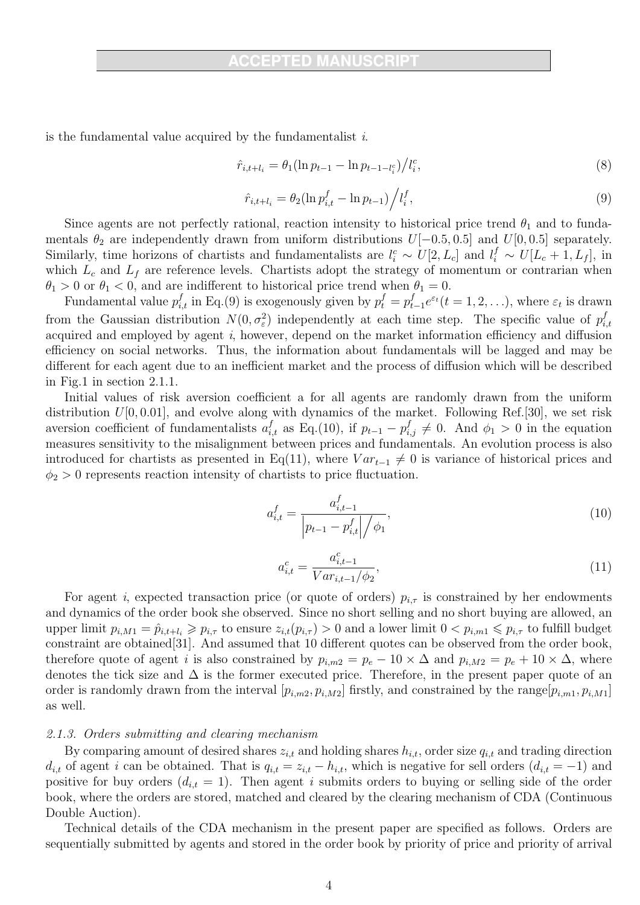is the fundamental value acquired by the fundamentalist  $i$ .

$$
\hat{r}_{i,t+l_i} = \theta_1 (\ln p_{t-1} - \ln p_{t-1-l_i^c}) / l_i^c,\tag{8}
$$

$$
\hat{r}_{i,t+l_i} = \theta_2 (\ln p_{i,t}^f - \ln p_{t-1}) / l_i^f,\tag{9}
$$

Since agents are not perfectly rational, reaction intensity to historical price trend  $\theta_1$  and to fundamentals  $\theta_2$  are independently drawn from uniform distributions  $U[-0.5, 0.5]$  and  $U[0, 0.5]$  separately. Similarly, time horizons of chartists and fundamentalists are  $l_i^c \sim U[2, L_c]$  and  $l_i^f \sim U[L_c + 1, L_f]$ , in which  $L_c$  and  $L_f$  are reference levels. Chartists adopt the strategy of momentum or contrarian when  $\theta_1 > 0$  or  $\theta_1 < 0$ , and are indifferent to historical price trend when  $\theta_1 = 0$ .

Fundamental value  $p_{i,t}^f$  in Eq.(9) is exogenously given by  $p_t^f = p_t^f$  $t_{t-1}^f e^{\varepsilon_t} (t=1,2,\ldots),$  where  $\varepsilon_t$  is drawn from the Gaussian distribution  $N(0, \sigma_{\varepsilon}^2)$  independently at each time step. The specific value of  $p_i^f$ i,t acquired and employed by agent i, however, depend on the market information efficiency and diffusion efficiency on social networks. Thus, the information about fundamentals will be lagged and may be different for each agent due to an inefficient market and the process of diffusion which will be described in Fig.1 in section 2.1.1.

Initial values of risk aversion coefficient a for all agents are randomly drawn from the uniform distribution  $U[0, 0.01]$ , and evolve along with dynamics of the market. Following Ref.[30], we set risk aversion coefficient of fundamentalists  $a_{i,t}^f$  as Eq.(10), if  $p_{t-1} - p_{i,j}^f \neq 0$ . And  $\phi_1 > 0$  in the equation measures sensitivity to the misalignment between prices and fundamentals. An evolution process is also introduced for chartists as presented in Eq(11), where  $Var_{t-1} \neq 0$  is variance of historical prices and  $\phi_2 > 0$  represents reaction intensity of chartists to price fluctuation.

$$
a_{i,t}^f = \frac{a_{i,t-1}^f}{\left| p_{t-1} - p_{i,t}^f \right| / \phi_1},\tag{10}
$$

$$
a_{i,t}^c = \frac{a_{i,t-1}^c}{Var_{i,t-1}/\phi_2},\tag{11}
$$

For agent i, expected transaction price (or quote of orders)  $p_{i,\tau}$  is constrained by her endowments and dynamics of the order book she observed. Since no short selling and no short buying are allowed, an upper limit  $p_{i,M1} = \hat{p}_{i,t+l_i} \geqslant p_{i,\tau}$  to ensure  $z_{i,t}(p_{i,\tau}) > 0$  and a lower limit  $0 < p_{i,m1} \leqslant p_{i,\tau}$  to fulfill budget constraint are obtained[31]. And assumed that 10 different quotes can be observed from the order book, therefore quote of agent i is also constrained by  $p_{i,m2} = p_e - 10 \times \Delta$  and  $p_{i,M2} = p_e + 10 \times \Delta$ , where denotes the tick size and  $\Delta$  is the former executed price. Therefore, in the present paper quote of an order is randomly drawn from the interval  $[p_{i,m2}, p_{i,M2}]$  firstly, and constrained by the range $[p_{i,m1}, p_{i,M1}]$ as well.

#### 2.1.3. Orders submitting and clearing mechanism

By comparing amount of desired shares  $z_{i,t}$  and holding shares  $h_{i,t}$ , order size  $q_{i,t}$  and trading direction  $d_{i,t}$  of agent i can be obtained. That is  $q_{i,t} = z_{i,t} - h_{i,t}$ , which is negative for sell orders  $(d_{i,t} = -1)$  and positive for buy orders  $(d_{i,t} = 1)$ . Then agent i submits orders to buying or selling side of the order book, where the orders are stored, matched and cleared by the clearing mechanism of CDA (Continuous Double Auction).

Technical details of the CDA mechanism in the present paper are specified as follows. Orders are sequentially submitted by agents and stored in the order book by priority of price and priority of arrival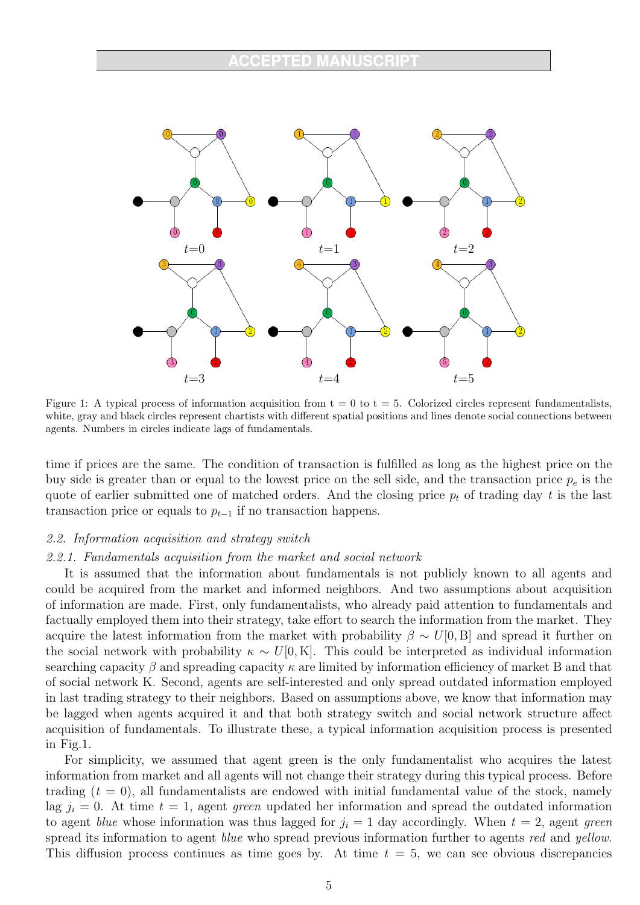

Figure 1: A typical process of information acquisition from  $t = 0$  to  $t = 5$ . Colorized circles represent fundamentalists, white, gray and black circles represent chartists with different spatial positions and lines denote social connections between agents. Numbers in circles indicate lags of fundamentals.

time if prices are the same. The condition of transaction is fulfilled as long as the highest price on the buy side is greater than or equal to the lowest price on the sell side, and the transaction price  $p_e$  is the quote of earlier submitted one of matched orders. And the closing price  $p_t$  of trading day t is the last transaction price or equals to  $p_{t-1}$  if no transaction happens.

## 2.2. Information acquisition and strategy switch

## 2.2.1. Fundamentals acquisition from the market and social network

It is assumed that the information about fundamentals is not publicly known to all agents and could be acquired from the market and informed neighbors. And two assumptions about acquisition of information are made. First, only fundamentalists, who already paid attention to fundamentals and factually employed them into their strategy, take effort to search the information from the market. They acquire the latest information from the market with probability  $\beta \sim U[0, B]$  and spread it further on the social network with probability  $\kappa \sim U[0, K]$ . This could be interpreted as individual information searching capacity  $\beta$  and spreading capacity  $\kappa$  are limited by information efficiency of market B and that of social network K. Second, agents are self-interested and only spread outdated information employed in last trading strategy to their neighbors. Based on assumptions above, we know that information may be lagged when agents acquired it and that both strategy switch and social network structure affect acquisition of fundamentals. To illustrate these, a typical information acquisition process is presented in Fig.1.

For simplicity, we assumed that agent green is the only fundamentalist who acquires the latest information from market and all agents will not change their strategy during this typical process. Before trading  $(t = 0)$ , all fundamentalists are endowed with initial fundamental value of the stock, namely lag  $j_i = 0$ . At time  $t = 1$ , agent green updated her information and spread the outdated information to agent blue whose information was thus lagged for  $j_i = 1$  day accordingly. When  $t = 2$ , agent green spread its information to agent *blue* who spread previous information further to agents red and yellow. This diffusion process continues as time goes by. At time  $t = 5$ , we can see obvious discrepancies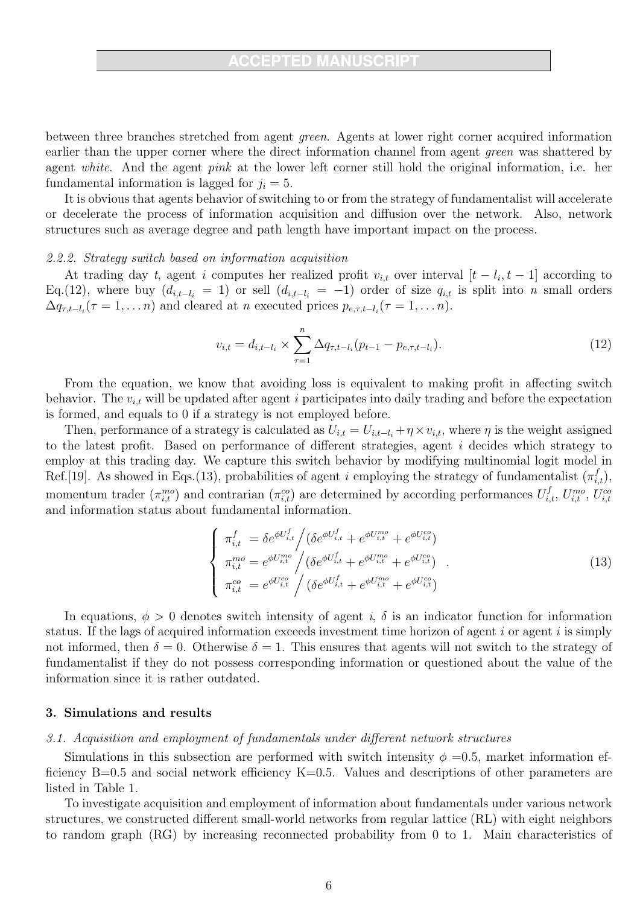between three branches stretched from agent green. Agents at lower right corner acquired information earlier than the upper corner where the direct information channel from agent green was shattered by agent white. And the agent pink at the lower left corner still hold the original information, i.e. her fundamental information is lagged for  $j_i = 5$ .

It is obvious that agents behavior of switching to or from the strategy of fundamentalist will accelerate or decelerate the process of information acquisition and diffusion over the network. Also, network structures such as average degree and path length have important impact on the process.

#### 2.2.2. Strategy switch based on information acquisition

At trading day t, agent i computes her realized profit  $v_{i,t}$  over interval  $[t - l_i, t - 1]$  according to Eq.(12), where buy  $(d_{i,t-l_i} = 1)$  or sell  $(d_{i,t-l_i} = -1)$  order of size  $q_{i,t}$  is split into n small orders  $\Delta q_{\tau,t-l_i}(\tau=1,\ldots n)$  and cleared at n executed prices  $p_{e,\tau,t-l_i}(\tau=1,\ldots n)$ .

$$
v_{i,t} = d_{i,t-l_i} \times \sum_{\tau=1}^{n} \Delta q_{\tau,t-l_i} (p_{t-1} - p_{e,\tau,t-l_i}). \tag{12}
$$

From the equation, we know that avoiding loss is equivalent to making profit in affecting switch behavior. The  $v_{i,t}$  will be updated after agent i participates into daily trading and before the expectation is formed, and equals to 0 if a strategy is not employed before.

Then, performance of a strategy is calculated as  $U_{i,t} = U_{i,t-l_i} + \eta \times v_{i,t}$ , where  $\eta$  is the weight assigned to the latest profit. Based on performance of different strategies, agent i decides which strategy to employ at this trading day. We capture this switch behavior by modifying multinomial logit model in Ref.[19]. As showed in Eqs.(13), probabilities of agent i employing the strategy of fundamentalist  $(\pi_{i,t}^f)$ , momentum trader  $(\pi_{i,t}^{mo})$  and contrarian  $(\pi_{i,t}^{co})$  are determined by according performances  $U_{i,t}^f$ ,  $U_{i,t}^{mo}$ ,  $U_{i,t}^{cc}$ and information status about fundamental information.

$$
\begin{cases}\n\pi_{i,t}^{f} = \delta e^{\phi U_{i,t}^{f}} / (\delta e^{\phi U_{i,t}^{f}} + e^{\phi U_{i,t}^{mo}} + e^{\phi U_{i,t}^{co}}) \\
\pi_{i,t}^{mo} = e^{\phi U_{i,t}^{mo}} / (\delta e^{\phi U_{i,t}^{f}} + e^{\phi U_{i,t}^{mo}} + e^{\phi U_{i,t}^{co}}) \\
\pi_{i,t}^{co} = e^{\phi U_{i,t}^{co}} / (\delta e^{\phi U_{i,t}^{f}} + e^{\phi U_{i,t}^{mo}} + e^{\phi U_{i,t}^{co}})\n\end{cases} (13)
$$

In equations,  $\phi > 0$  denotes switch intensity of agent i,  $\delta$  is an indicator function for information status. If the lags of acquired information exceeds investment time horizon of agent  $i$  or agent  $i$  is simply not informed, then  $\delta = 0$ . Otherwise  $\delta = 1$ . This ensures that agents will not switch to the strategy of fundamentalist if they do not possess corresponding information or questioned about the value of the information since it is rather outdated.

## 3. Simulations and results

#### 3.1. Acquisition and employment of fundamentals under different network structures

Simulations in this subsection are performed with switch intensity  $\phi = 0.5$ , market information efficiency  $B=0.5$  and social network efficiency  $K=0.5$ . Values and descriptions of other parameters are listed in Table 1.

To investigate acquisition and employment of information about fundamentals under various network structures, we constructed different small-world networks from regular lattice (RL) with eight neighbors to random graph (RG) by increasing reconnected probability from 0 to 1. Main characteristics of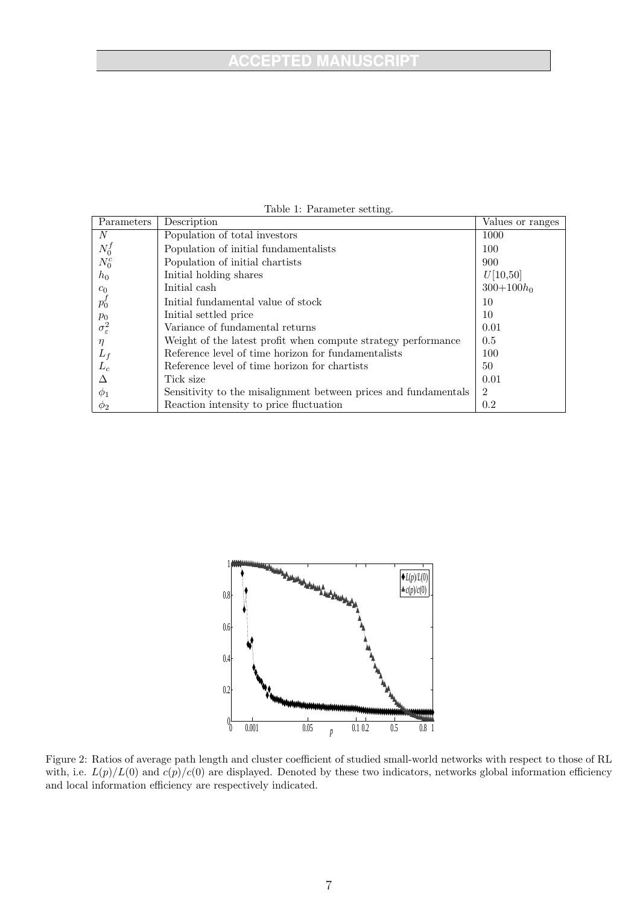# **ACCEPTED MANUSCRIPT**

| Parameters               | Description                                                     | Values or ranges |
|--------------------------|-----------------------------------------------------------------|------------------|
| N                        | Population of total investors                                   | 1000             |
| $N_0^f$                  | Population of initial fundamentalists                           | 100              |
| $N_0^c$                  | Population of initial chartists                                 | 900              |
| $h_0$                    | Initial holding shares                                          | U[10,50]         |
| $c_0$                    | Initial cash                                                    | $300+100h_0$     |
| $p_0'$                   | Initial fundamental value of stock                              | 10               |
| $p_0$                    | Initial settled price                                           | 10               |
| $\sigma_{\varepsilon}^2$ | Variance of fundamental returns                                 | 0.01             |
| $\eta$                   | Weight of the latest profit when compute strategy performance   | 0.5              |
| $L_f$                    | Reference level of time horizon for fundamentalists             | 100              |
| $L_c$                    | Reference level of time horizon for chartists                   | 50               |
| $\wedge$                 | Tick size                                                       | 0.01             |
| $\phi_1$                 | Sensitivity to the misalignment between prices and fundamentals | $\overline{2}$   |
| $\varphi_2$              | Reaction intensity to price fluctuation                         | 0.2              |

Table 1: Parameter setting.



Figure 2: Ratios of average path length and cluster coefficient of studied small-world networks with respect to those of RL with, i.e.  $L(p)/L(0)$  and  $c(p)/c(0)$  are displayed. Denoted by these two indicators, networks global information efficiency and local information efficiency are respectively indicated.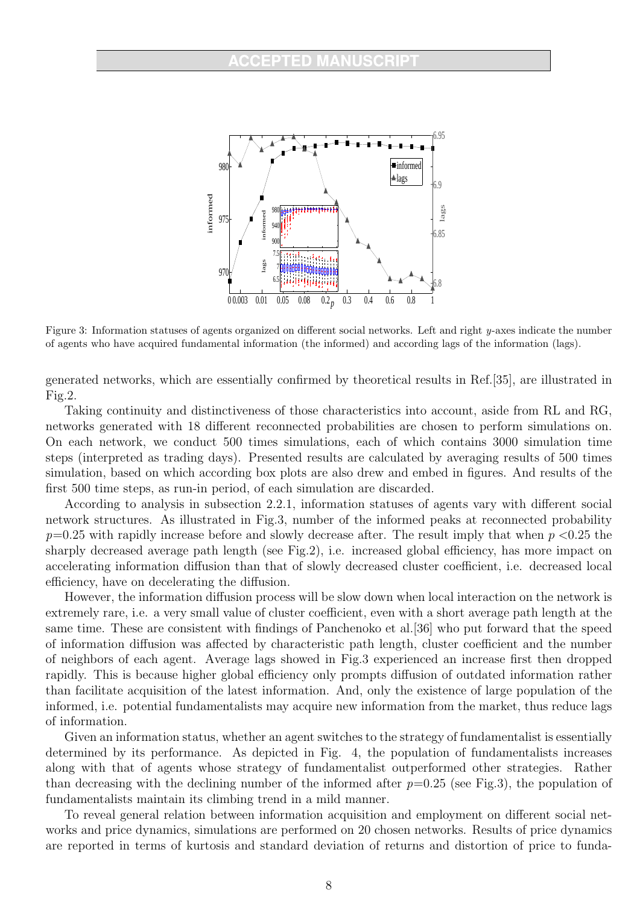

Figure 3: Information statuses of agents organized on different social networks. Left and right y-axes indicate the number of agents who have acquired fundamental information (the informed) and according lags of the information (lags).

generated networks, which are essentially confirmed by theoretical results in Ref.[35], are illustrated in Fig.2.

Taking continuity and distinctiveness of those characteristics into account, aside from RL and RG, networks generated with 18 different reconnected probabilities are chosen to perform simulations on. On each network, we conduct 500 times simulations, each of which contains 3000 simulation time steps (interpreted as trading days). Presented results are calculated by averaging results of 500 times simulation, based on which according box plots are also drew and embed in figures. And results of the first 500 time steps, as run-in period, of each simulation are discarded.

According to analysis in subsection 2.2.1, information statuses of agents vary with different social network structures. As illustrated in Fig.3, number of the informed peaks at reconnected probability  $p=0.25$  with rapidly increase before and slowly decrease after. The result imply that when  $p < 0.25$  the sharply decreased average path length (see Fig.2), i.e. increased global efficiency, has more impact on accelerating information diffusion than that of slowly decreased cluster coefficient, i.e. decreased local efficiency, have on decelerating the diffusion.

However, the information diffusion process will be slow down when local interaction on the network is extremely rare, i.e. a very small value of cluster coefficient, even with a short average path length at the same time. These are consistent with findings of Panchenoko et al.[36] who put forward that the speed of information diffusion was affected by characteristic path length, cluster coefficient and the number of neighbors of each agent. Average lags showed in Fig.3 experienced an increase first then dropped rapidly. This is because higher global efficiency only prompts diffusion of outdated information rather than facilitate acquisition of the latest information. And, only the existence of large population of the informed, i.e. potential fundamentalists may acquire new information from the market, thus reduce lags of information.

Given an information status, whether an agent switches to the strategy of fundamentalist is essentially determined by its performance. As depicted in Fig. 4, the population of fundamentalists increases along with that of agents whose strategy of fundamentalist outperformed other strategies. Rather than decreasing with the declining number of the informed after  $p=0.25$  (see Fig.3), the population of fundamentalists maintain its climbing trend in a mild manner.

To reveal general relation between information acquisition and employment on different social networks and price dynamics, simulations are performed on 20 chosen networks. Results of price dynamics are reported in terms of kurtosis and standard deviation of returns and distortion of price to funda-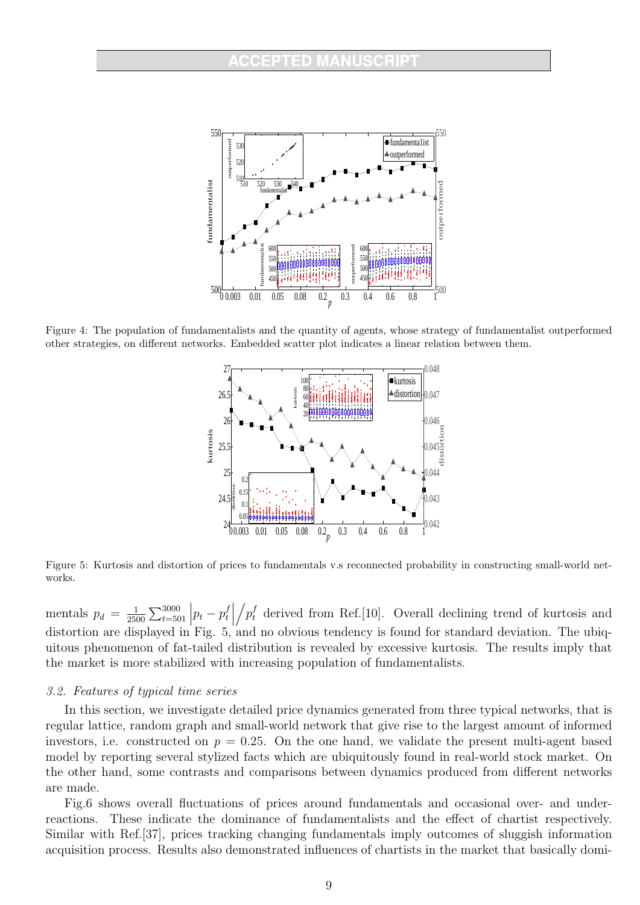

Figure 4: The population of fundamentalists and the quantity of agents, whose strategy of fundamentalist outperformed other strategies, on different networks. Embedded scatter plot indicates a linear relation between them.



Figure 5: Kurtosis and distortion of prices to fundamentals v.s reconnected probability in constructing small-world networks.

mentals  $p_d = \frac{1}{250}$  $\frac{1}{2500} \sum_{t=501}^{3000}$  $\left| p_t - p_t^f \right|$ t  $p_t^f$  derived from Ref.[10]. Overall declining trend of kurtosis and distortion are displayed in Fig.  $5$ , and no obvious tendency is found for standard deviation. The ubiquitous phenomenon of fat-tailed distribution is revealed by excessive kurtosis. The results imply that the market is more stabilized with increasing population of fundamentalists.

#### 3.2. Features of typical time series

In this section, we investigate detailed price dynamics generated from three typical networks, that is regular lattice, random graph and small-world network that give rise to the largest amount of informed investors, i.e. constructed on  $p = 0.25$ . On the one hand, we validate the present multi-agent based model by reporting several stylized facts which are ubiquitously found in real-world stock market. On the other hand, some contrasts and comparisons between dynamics produced from different networks are made.

Fig.6 shows overall fluctuations of prices around fundamentals and occasional over- and underreactions. These indicate the dominance of fundamentalists and the effect of chartist respectively. Similar with Ref.[37], prices tracking changing fundamentals imply outcomes of sluggish information acquisition process. Results also demonstrated influences of chartists in the market that basically domi-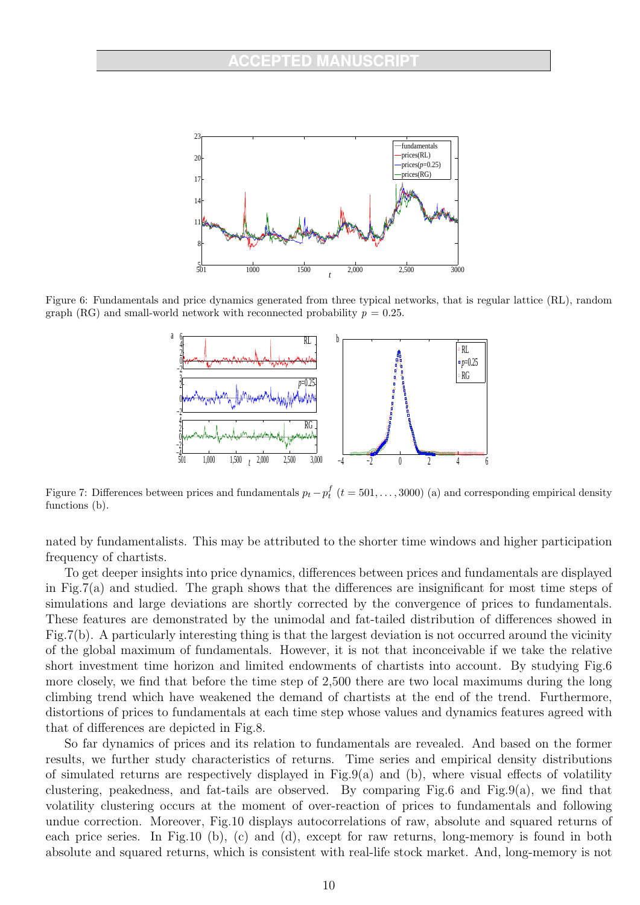

Figure 6: Fundamentals and price dynamics generated from three typical networks, that is regular lattice (RL), random graph (RG) and small-world network with reconnected probability  $p = 0.25$ .



Figure 7: Differences between prices and fundamentals  $p_t - p_t^f$   $(t = 501, \ldots, 3000)$  (a) and corresponding empirical density functions (b).

nated by fundamentalists. This may be attributed to the shorter time windows and higher participation frequency of chartists.

To get deeper insights into price dynamics, differences between prices and fundamentals are displayed in Fig.7(a) and studied. The graph shows that the differences are insignificant for most time steps of simulations and large deviations are shortly corrected by the convergence of prices to fundamentals. These features are demonstrated by the unimodal and fat-tailed distribution of differences showed in Fig.7(b). A particularly interesting thing is that the largest deviation is not occurred around the vicinity of the global maximum of fundamentals. However, it is not that inconceivable if we take the relative short investment time horizon and limited endowments of chartists into account. By studying Fig.6 more closely, we find that before the time step of 2,500 there are two local maximums during the long climbing trend which have weakened the demand of chartists at the end of the trend. Furthermore, distortions of prices to fundamentals at each time step whose values and dynamics features agreed with that of differences are depicted in Fig.8.

So far dynamics of prices and its relation to fundamentals are revealed. And based on the former results, we further study characteristics of returns. Time series and empirical density distributions of simulated returns are respectively displayed in  $Fig.9(a)$  and (b), where visual effects of volatility clustering, peakedness, and fat-tails are observed. By comparing Fig.6 and Fig.9(a), we find that volatility clustering occurs at the moment of over-reaction of prices to fundamentals and following undue correction. Moreover, Fig.10 displays autocorrelations of raw, absolute and squared returns of each price series. In Fig.10 (b), (c) and (d), except for raw returns, long-memory is found in both absolute and squared returns, which is consistent with real-life stock market. And, long-memory is not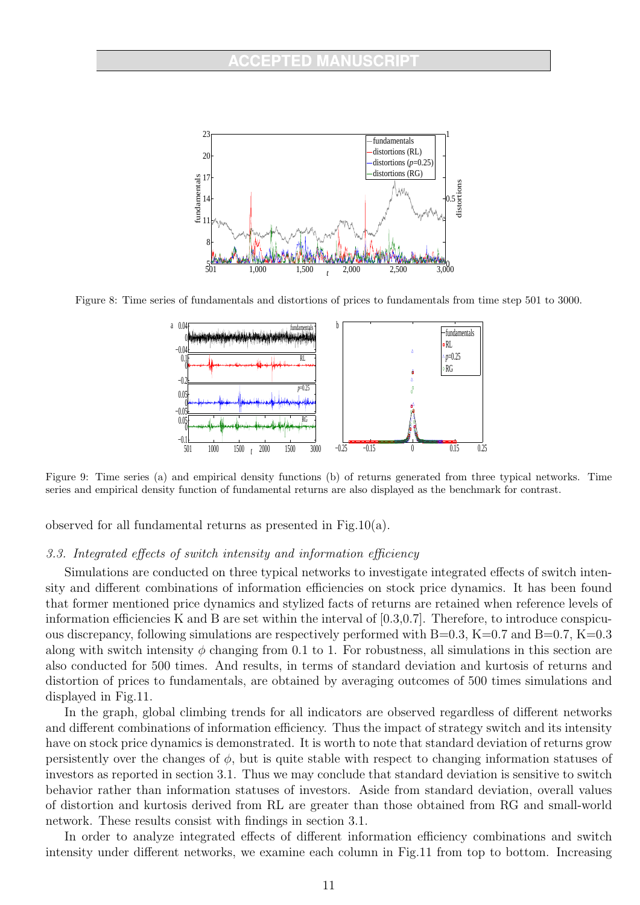

Figure 8: Time series of fundamentals and distortions of prices to fundamentals from time step 501 to 3000.



Figure 9: Time series (a) and empirical density functions (b) of returns generated from three typical networks. Time series and empirical density function of fundamental returns are also displayed as the benchmark for contrast.

observed for all fundamental returns as presented in Fig.10(a).

#### 3.3. Integrated effects of switch intensity and information efficiency

Simulations are conducted on three typical networks to investigate integrated effects of switch intensity and different combinations of information efficiencies on stock price dynamics. It has been found that former mentioned price dynamics and stylized facts of returns are retained when reference levels of information efficiencies K and B are set within the interval of  $[0.3,0.7]$ . Therefore, to introduce conspicuous discrepancy, following simulations are respectively performed with B=0.3, K=0.7 and B=0.7, K=0.3 along with switch intensity  $\phi$  changing from 0.1 to 1. For robustness, all simulations in this section are also conducted for 500 times. And results, in terms of standard deviation and kurtosis of returns and distortion of prices to fundamentals, are obtained by averaging outcomes of 500 times simulations and displayed in Fig.11.

In the graph, global climbing trends for all indicators are observed regardless of different networks and different combinations of information efficiency. Thus the impact of strategy switch and its intensity have on stock price dynamics is demonstrated. It is worth to note that standard deviation of returns grow persistently over the changes of  $\phi$ , but is quite stable with respect to changing information statuses of investors as reported in section 3.1. Thus we may conclude that standard deviation is sensitive to switch behavior rather than information statuses of investors. Aside from standard deviation, overall values of distortion and kurtosis derived from RL are greater than those obtained from RG and small-world network. These results consist with findings in section 3.1.

In order to analyze integrated effects of different information efficiency combinations and switch intensity under different networks, we examine each column in Fig.11 from top to bottom. Increasing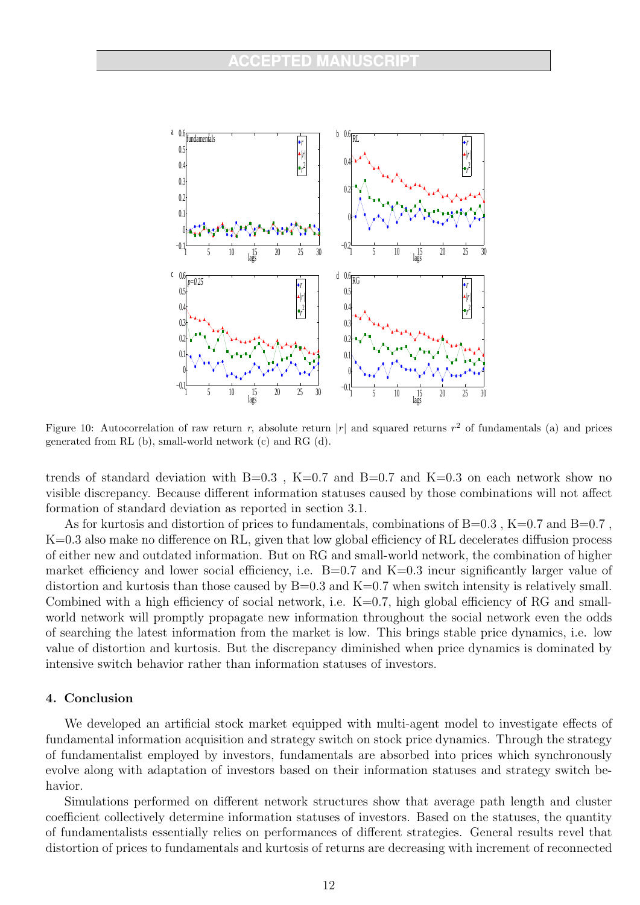

Figure 10: Autocorrelation of raw return r, absolute return  $|r|$  and squared returns  $r^2$  of fundamentals (a) and prices generated from RL (b), small-world network (c) and RG (d).

trends of standard deviation with  $B=0.3$ ,  $K=0.7$  and  $B=0.7$  and  $K=0.3$  on each network show no visible discrepancy. Because different information statuses caused by those combinations will not affect formation of standard deviation as reported in section 3.1.

As for kurtosis and distortion of prices to fundamentals, combinations of  $B=0.3$ ,  $K=0.7$  and  $B=0.7$ , K=0.3 also make no difference on RL, given that low global efficiency of RL decelerates diffusion process of either new and outdated information. But on RG and small-world network, the combination of higher market efficiency and lower social efficiency, i.e.  $B=0.7$  and  $K=0.3$  incur significantly larger value of distortion and kurtosis than those caused by  $B=0.3$  and  $K=0.7$  when switch intensity is relatively small. Combined with a high efficiency of social network, i.e.  $K=0.7$ , high global efficiency of RG and smallworld network will promptly propagate new information throughout the social network even the odds of searching the latest information from the market is low. This brings stable price dynamics, i.e. low value of distortion and kurtosis. But the discrepancy diminished when price dynamics is dominated by intensive switch behavior rather than information statuses of investors.

#### 4. Conclusion

We developed an artificial stock market equipped with multi-agent model to investigate effects of fundamental information acquisition and strategy switch on stock price dynamics. Through the strategy of fundamentalist employed by investors, fundamentals are absorbed into prices which synchronously evolve along with adaptation of investors based on their information statuses and strategy switch behavior.

Simulations performed on different network structures show that average path length and cluster coefficient collectively determine information statuses of investors. Based on the statuses, the quantity of fundamentalists essentially relies on performances of different strategies. General results revel that distortion of prices to fundamentals and kurtosis of returns are decreasing with increment of reconnected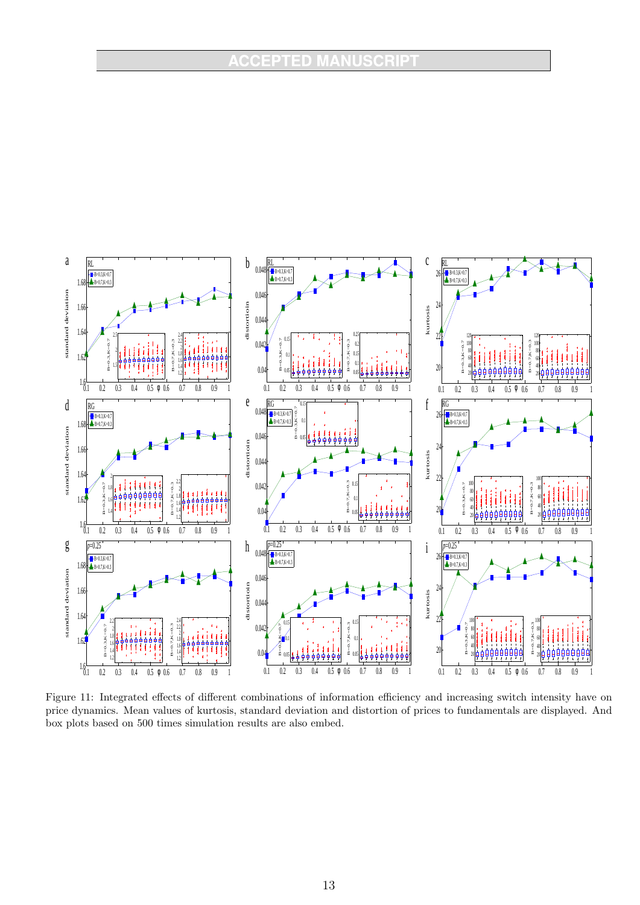# **ACCEPTED MANUSCRIPT**



Figure 11: Integrated effects of different combinations of information efficiency and increasing switch intensity have on price dynamics. Mean values of kurtosis, standard deviation and distortion of prices to fundamentals are displayed. And box plots based on 500 times simulation results are also embed.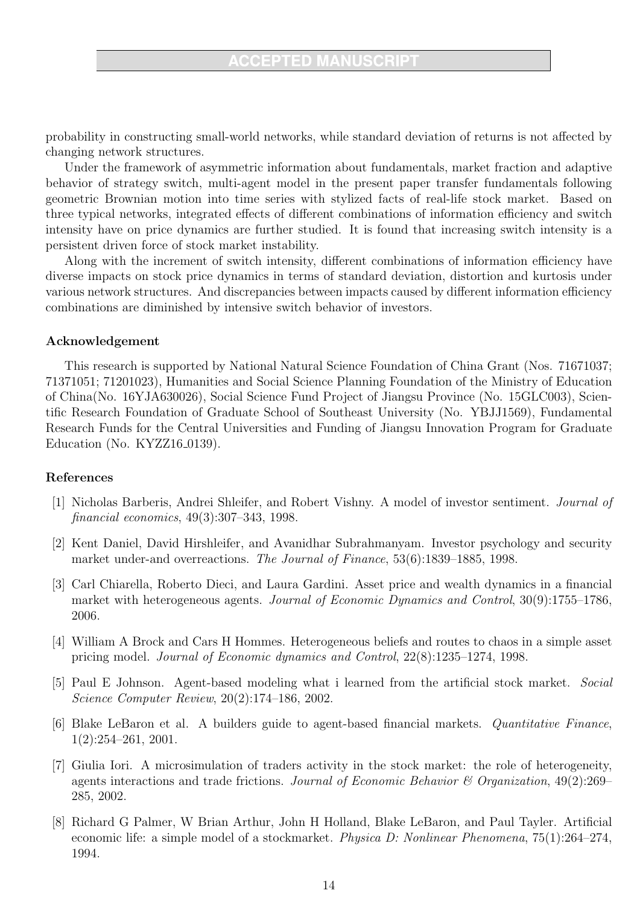probability in constructing small-world networks, while standard deviation of returns is not affected by changing network structures.

Under the framework of asymmetric information about fundamentals, market fraction and adaptive behavior of strategy switch, multi-agent model in the present paper transfer fundamentals following geometric Brownian motion into time series with stylized facts of real-life stock market. Based on three typical networks, integrated effects of different combinations of information efficiency and switch intensity have on price dynamics are further studied. It is found that increasing switch intensity is a persistent driven force of stock market instability.

Along with the increment of switch intensity, different combinations of information efficiency have diverse impacts on stock price dynamics in terms of standard deviation, distortion and kurtosis under various network structures. And discrepancies between impacts caused by different information efficiency combinations are diminished by intensive switch behavior of investors.

## Acknowledgement

This research is supported by National Natural Science Foundation of China Grant (Nos. 71671037; 71371051; 71201023), Humanities and Social Science Planning Foundation of the Ministry of Education of China(No. 16YJA630026), Social Science Fund Project of Jiangsu Province (No. 15GLC003), Scientific Research Foundation of Graduate School of Southeast University (No. YBJJ1569), Fundamental Research Funds for the Central Universities and Funding of Jiangsu Innovation Program for Graduate Education (No.  $KYZZ16_0139$ ).

## References

- [1] Nicholas Barberis, Andrei Shleifer, and Robert Vishny. A model of investor sentiment. Journal of financial economics, 49(3):307–343, 1998.
- [2] Kent Daniel, David Hirshleifer, and Avanidhar Subrahmanyam. Investor psychology and security market under-and overreactions. The Journal of Finance, 53(6):1839–1885, 1998.
- [3] Carl Chiarella, Roberto Dieci, and Laura Gardini. Asset price and wealth dynamics in a financial market with heterogeneous agents. Journal of Economic Dynamics and Control, 30(9):1755–1786, 2006.
- [4] William A Brock and Cars H Hommes. Heterogeneous beliefs and routes to chaos in a simple asset pricing model. Journal of Economic dynamics and Control, 22(8):1235–1274, 1998.
- [5] Paul E Johnson. Agent-based modeling what i learned from the artificial stock market. Social Science Computer Review, 20(2):174–186, 2002.
- [6] Blake LeBaron et al. A builders guide to agent-based financial markets. Quantitative Finance, 1(2):254–261, 2001.
- [7] Giulia Iori. A microsimulation of traders activity in the stock market: the role of heterogeneity, agents interactions and trade frictions. Journal of Economic Behavior  $\mathcal C$  Organization, 49(2):269– 285, 2002.
- [8] Richard G Palmer, W Brian Arthur, John H Holland, Blake LeBaron, and Paul Tayler. Artificial economic life: a simple model of a stockmarket. Physica D: Nonlinear Phenomena, 75(1):264–274, 1994.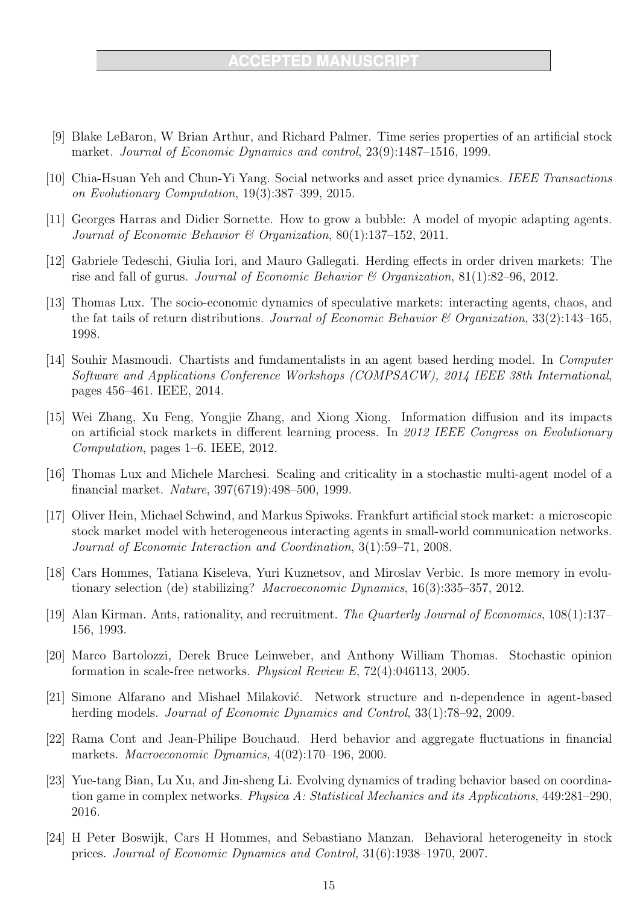- [9] Blake LeBaron, W Brian Arthur, and Richard Palmer. Time series properties of an artificial stock market. Journal of Economic Dynamics and control, 23(9):1487–1516, 1999.
- [10] Chia-Hsuan Yeh and Chun-Yi Yang. Social networks and asset price dynamics. IEEE Transactions on Evolutionary Computation, 19(3):387–399, 2015.
- [11] Georges Harras and Didier Sornette. How to grow a bubble: A model of myopic adapting agents. Journal of Economic Behavior & Organization, 80(1):137–152, 2011.
- [12] Gabriele Tedeschi, Giulia Iori, and Mauro Gallegati. Herding effects in order driven markets: The rise and fall of gurus. Journal of Economic Behavior & Organization, 81(1):82–96, 2012.
- [13] Thomas Lux. The socio-economic dynamics of speculative markets: interacting agents, chaos, and the fat tails of return distributions. Journal of Economic Behavior & Organization,  $33(2)$ :143–165, 1998.
- [14] Souhir Masmoudi. Chartists and fundamentalists in an agent based herding model. In Computer Software and Applications Conference Workshops (COMPSACW), 2014 IEEE 38th International, pages 456–461. IEEE, 2014.
- [15] Wei Zhang, Xu Feng, Yongjie Zhang, and Xiong Xiong. Information diffusion and its impacts on artificial stock markets in different learning process. In 2012 IEEE Congress on Evolutionary Computation, pages 1–6. IEEE, 2012.
- [16] Thomas Lux and Michele Marchesi. Scaling and criticality in a stochastic multi-agent model of a financial market. Nature, 397(6719):498–500, 1999.
- [17] Oliver Hein, Michael Schwind, and Markus Spiwoks. Frankfurt artificial stock market: a microscopic stock market model with heterogeneous interacting agents in small-world communication networks. Journal of Economic Interaction and Coordination, 3(1):59–71, 2008.
- [18] Cars Hommes, Tatiana Kiseleva, Yuri Kuznetsov, and Miroslav Verbic. Is more memory in evolutionary selection (de) stabilizing? Macroeconomic Dynamics, 16(3):335–357, 2012.
- [19] Alan Kirman. Ants, rationality, and recruitment. The Quarterly Journal of Economics, 108(1):137– 156, 1993.
- [20] Marco Bartolozzi, Derek Bruce Leinweber, and Anthony William Thomas. Stochastic opinion formation in scale-free networks. Physical Review E, 72(4):046113, 2005.
- [21] Simone Alfarano and Mishael Milaković. Network structure and n-dependence in agent-based herding models. Journal of Economic Dynamics and Control, 33(1):78–92, 2009.
- [22] Rama Cont and Jean-Philipe Bouchaud. Herd behavior and aggregate fluctuations in financial markets. Macroeconomic Dynamics, 4(02):170–196, 2000.
- [23] Yue-tang Bian, Lu Xu, and Jin-sheng Li. Evolving dynamics of trading behavior based on coordination game in complex networks. Physica A: Statistical Mechanics and its Applications, 449:281–290, 2016.
- [24] H Peter Boswijk, Cars H Hommes, and Sebastiano Manzan. Behavioral heterogeneity in stock prices. Journal of Economic Dynamics and Control, 31(6):1938–1970, 2007.